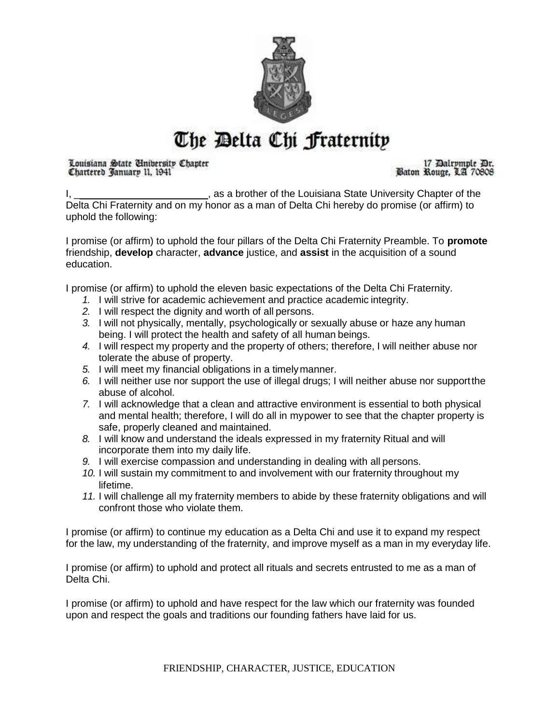

## The Delta Chi fraternity

Louisiana State Unibersity Chapter Chartered January 11, 1941

17 Dalromple Dr. Baton Rouge, LA 70808

I, \_\_\_\_\_\_\_\_\_\_\_\_\_\_\_\_\_\_\_\_\_\_\_\_\_\_\_, as a brother of the Louisiana State University Chapter of the Delta Chi Fraternity and on my honor as a man of Delta Chi hereby do promise (or affirm) to uphold the following:

I promise (or affirm) to uphold the four pillars of the Delta Chi Fraternity Preamble. To **promote**  friendship, **develop** character, **advance** justice, and **assist** in the acquisition of a sound education.

I promise (or affirm) to uphold the eleven basic expectations of the Delta Chi Fraternity.

- *1.* I will strive for academic achievement and practice academic integrity.
- *2.* I will respect the dignity and worth of all persons.
- *3.* I will not physically, mentally, psychologically or sexually abuse or haze any human being. I will protect the health and safety of all human beings.
- *4.* I will respect my property and the property of others; therefore, I will neither abuse nor tolerate the abuse of property.
- *5.* I will meet my financial obligations in a timelymanner.
- *6.* I will neither use nor support the use of illegal drugs; I will neither abuse nor supportthe abuse of alcohol.
- *7.* I will acknowledge that a clean and attractive environment is essential to both physical and mental health; therefore, I will do all in mypower to see that the chapter property is safe, properly cleaned and maintained.
- *8.* I will know and understand the ideals expressed in my fraternity Ritual and will incorporate them into my daily life.
- *9.* I will exercise compassion and understanding in dealing with all persons.
- *10.* I will sustain my commitment to and involvement with our fraternity throughout my lifetime.
- *11.* I will challenge all my fraternity members to abide by these fraternity obligations and will confront those who violate them.

I promise (or affirm) to continue my education as a Delta Chi and use it to expand my respect for the law, my understanding of the fraternity, and improve myself as a man in my everyday life.

I promise (or affirm) to uphold and protect all rituals and secrets entrusted to me as a man of Delta Chi.

I promise (or affirm) to uphold and have respect for the law which our fraternity was founded upon and respect the goals and traditions our founding fathers have laid for us.